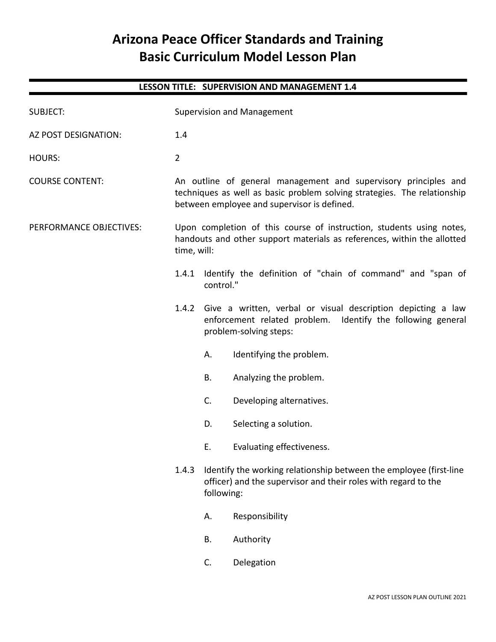# **Arizona Peace Officer Standards and Training Basic Curriculum Model Lesson Plan**

# **LESSON TITLE: SUPERVISION AND MANAGEMENT 1.4**

| <b>SUBJECT:</b>         | <b>Supervision and Management</b>                                                                                                                                                          |                                                                               |                                                                                                                                                       |
|-------------------------|--------------------------------------------------------------------------------------------------------------------------------------------------------------------------------------------|-------------------------------------------------------------------------------|-------------------------------------------------------------------------------------------------------------------------------------------------------|
| AZ POST DESIGNATION:    | 1.4                                                                                                                                                                                        |                                                                               |                                                                                                                                                       |
| <b>HOURS:</b>           | $\overline{2}$                                                                                                                                                                             |                                                                               |                                                                                                                                                       |
| <b>COURSE CONTENT:</b>  | An outline of general management and supervisory principles and<br>techniques as well as basic problem solving strategies. The relationship<br>between employee and supervisor is defined. |                                                                               |                                                                                                                                                       |
| PERFORMANCE OBJECTIVES: | time, will:                                                                                                                                                                                |                                                                               | Upon completion of this course of instruction, students using notes,<br>handouts and other support materials as references, within the allotted       |
|                         |                                                                                                                                                                                            | 1.4.1 Identify the definition of "chain of command" and "span of<br>control." |                                                                                                                                                       |
|                         | 1.4.2                                                                                                                                                                                      |                                                                               | Give a written, verbal or visual description depicting a law<br>enforcement related problem. Identify the following general<br>problem-solving steps: |
|                         |                                                                                                                                                                                            | Α.                                                                            | Identifying the problem.                                                                                                                              |
|                         |                                                                                                                                                                                            | В.                                                                            | Analyzing the problem.                                                                                                                                |
|                         |                                                                                                                                                                                            | C.                                                                            | Developing alternatives.                                                                                                                              |
|                         |                                                                                                                                                                                            | D.                                                                            | Selecting a solution.                                                                                                                                 |
|                         |                                                                                                                                                                                            | Ε.                                                                            | Evaluating effectiveness.                                                                                                                             |
|                         | 1.4.3                                                                                                                                                                                      | following:                                                                    | Identify the working relationship between the employee (first-line<br>officer) and the supervisor and their roles with regard to the                  |
|                         |                                                                                                                                                                                            | А.                                                                            | Responsibility                                                                                                                                        |
|                         |                                                                                                                                                                                            | <b>B.</b>                                                                     | Authority                                                                                                                                             |
|                         |                                                                                                                                                                                            | C.                                                                            | Delegation                                                                                                                                            |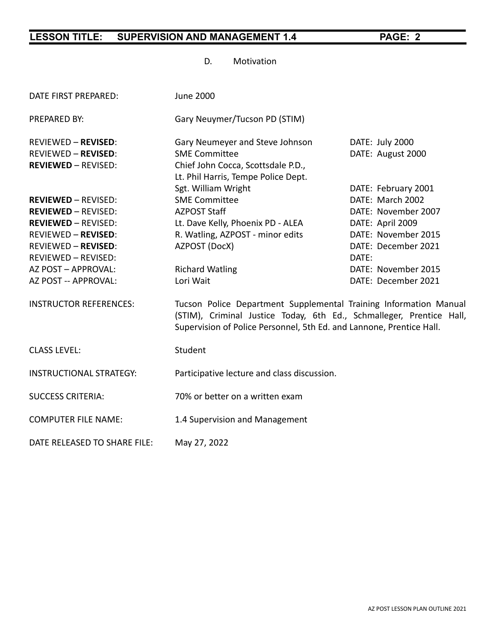D. Motivation

| DATE FIRST PREPARED:                                                                                                                                                                                                     | <b>June 2000</b>                                                                                                                                                                                                  |                                                                                                                                                                                         |  |  |
|--------------------------------------------------------------------------------------------------------------------------------------------------------------------------------------------------------------------------|-------------------------------------------------------------------------------------------------------------------------------------------------------------------------------------------------------------------|-----------------------------------------------------------------------------------------------------------------------------------------------------------------------------------------|--|--|
| PREPARED BY:                                                                                                                                                                                                             | Gary Neuymer/Tucson PD (STIM)                                                                                                                                                                                     |                                                                                                                                                                                         |  |  |
| <b>REVIEWED - REVISED:</b><br><b>REVIEWED - REVISED:</b><br><b>REVIEWED - REVISED:</b>                                                                                                                                   | Gary Neumeyer and Steve Johnson<br><b>SME Committee</b><br>Chief John Cocca, Scottsdale P.D.,<br>Lt. Phil Harris, Tempe Police Dept.                                                                              | DATE: July 2000<br>DATE: August 2000                                                                                                                                                    |  |  |
| <b>REVIEWED - REVISED:</b><br><b>REVIEWED - REVISED:</b><br><b>REVIEWED - REVISED:</b><br><b>REVIEWED - REVISED:</b><br><b>REVIEWED - REVISED:</b><br>REVIEWED - REVISED:<br>AZ POST - APPROVAL:<br>AZ POST -- APPROVAL: | Sgt. William Wright<br><b>SME Committee</b><br><b>AZPOST Staff</b><br>Lt. Dave Kelly, Phoenix PD - ALEA<br>R. Watling, AZPOST - minor edits<br>AZPOST (DocX)<br><b>Richard Watling</b><br>Lori Wait               | DATE: February 2001<br>DATE: March 2002<br>DATE: November 2007<br>DATE: April 2009<br>DATE: November 2015<br>DATE: December 2021<br>DATE:<br>DATE: November 2015<br>DATE: December 2021 |  |  |
| <b>INSTRUCTOR REFERENCES:</b>                                                                                                                                                                                            | Tucson Police Department Supplemental Training Information Manual<br>(STIM), Criminal Justice Today, 6th Ed., Schmalleger, Prentice Hall,<br>Supervision of Police Personnel, 5th Ed. and Lannone, Prentice Hall. |                                                                                                                                                                                         |  |  |
| <b>CLASS LEVEL:</b>                                                                                                                                                                                                      | Student                                                                                                                                                                                                           |                                                                                                                                                                                         |  |  |
| <b>INSTRUCTIONAL STRATEGY:</b>                                                                                                                                                                                           | Participative lecture and class discussion.                                                                                                                                                                       |                                                                                                                                                                                         |  |  |
| <b>SUCCESS CRITERIA:</b>                                                                                                                                                                                                 | 70% or better on a written exam                                                                                                                                                                                   |                                                                                                                                                                                         |  |  |
| <b>COMPUTER FILE NAME:</b>                                                                                                                                                                                               | 1.4 Supervision and Management                                                                                                                                                                                    |                                                                                                                                                                                         |  |  |
| DATE RELEASED TO SHARE FILE:                                                                                                                                                                                             | May 27, 2022                                                                                                                                                                                                      |                                                                                                                                                                                         |  |  |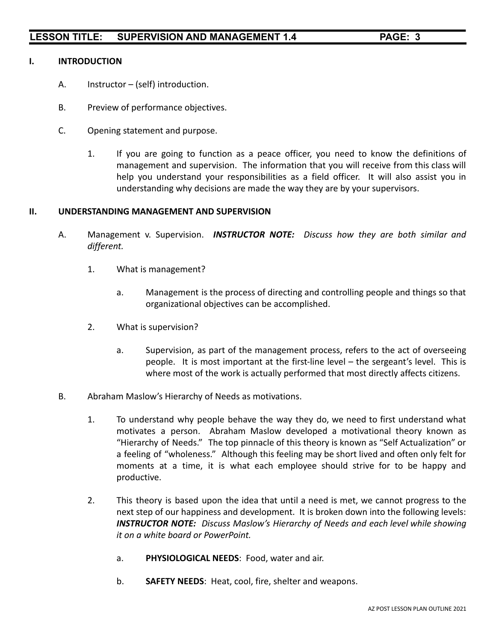#### **I. INTRODUCTION**

- A. Instructor (self) introduction.
- B. Preview of performance objectives.
- C. Opening statement and purpose.
	- 1. If you are going to function as a peace officer, you need to know the definitions of management and supervision. The information that you will receive from this class will help you understand your responsibilities as a field officer. It will also assist you in understanding why decisions are made the way they are by your supervisors.

### **II. UNDERSTANDING MANAGEMENT AND SUPERVISION**

- A. Management v. Supervision. *INSTRUCTOR NOTE: Discuss how they are both similar and different.*
	- 1. What is management?
		- a. Management is the process of directing and controlling people and things so that organizational objectives can be accomplished.
	- 2. What is supervision?
		- a. Supervision, as part of the management process, refers to the act of overseeing people. It is most important at the first-line level – the sergeant's level. This is where most of the work is actually performed that most directly affects citizens.
- B. Abraham Maslow's Hierarchy of Needs as motivations.
	- 1. To understand why people behave the way they do, we need to first understand what motivates a person. Abraham Maslow developed a motivational theory known as "Hierarchy of Needs." The top pinnacle of this theory is known as "Self Actualization" or a feeling of "wholeness." Although this feeling may be short lived and often only felt for moments at a time, it is what each employee should strive for to be happy and productive.
	- 2. This theory is based upon the idea that until a need is met, we cannot progress to the next step of our happiness and development. It is broken down into the following levels: *INSTRUCTOR NOTE: Discuss Maslow's Hierarchy of Needs and each level while showing it on a white board or PowerPoint.*
		- a. **PHYSIOLOGICAL NEEDS**: Food, water and air.
		- b. **SAFETY NEEDS**: Heat, cool, fire, shelter and weapons.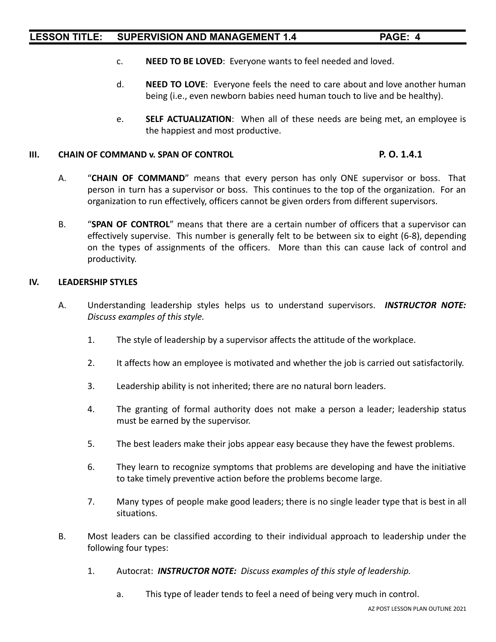- c. **NEED TO BE LOVED**: Everyone wants to feel needed and loved.
- d. **NEED TO LOVE**: Everyone feels the need to care about and love another human being (i.e., even newborn babies need human touch to live and be healthy).
- e. **SELF ACTUALIZATION**: When all of these needs are being met, an employee is the happiest and most productive.

#### **III. CHAIN OF COMMAND v. SPAN OF CONTROL P. O. 1.4.1**

- A. "**CHAIN OF COMMAND**" means that every person has only ONE supervisor or boss. That person in turn has a supervisor or boss. This continues to the top of the organization. For an organization to run effectively, officers cannot be given orders from different supervisors.
- B. "**SPAN OF CONTROL**" means that there are a certain number of officers that a supervisor can effectively supervise. This number is generally felt to be between six to eight (6-8), depending on the types of assignments of the officers. More than this can cause lack of control and productivity.

#### **IV. LEADERSHIP STYLES**

- A. Understanding leadership styles helps us to understand supervisors. *INSTRUCTOR NOTE: Discuss examples of this style.*
	- 1. The style of leadership by a supervisor affects the attitude of the workplace.
	- 2. It affects how an employee is motivated and whether the job is carried out satisfactorily.
	- 3. Leadership ability is not inherited; there are no natural born leaders.
	- 4. The granting of formal authority does not make a person a leader; leadership status must be earned by the supervisor.
	- 5. The best leaders make their jobs appear easy because they have the fewest problems.
	- 6. They learn to recognize symptoms that problems are developing and have the initiative to take timely preventive action before the problems become large.
	- 7. Many types of people make good leaders; there is no single leader type that is best in all situations.
- B. Most leaders can be classified according to their individual approach to leadership under the following four types:
	- 1. Autocrat: *INSTRUCTOR NOTE: Discuss examples of this style of leadership.*
		- a. This type of leader tends to feel a need of being very much in control.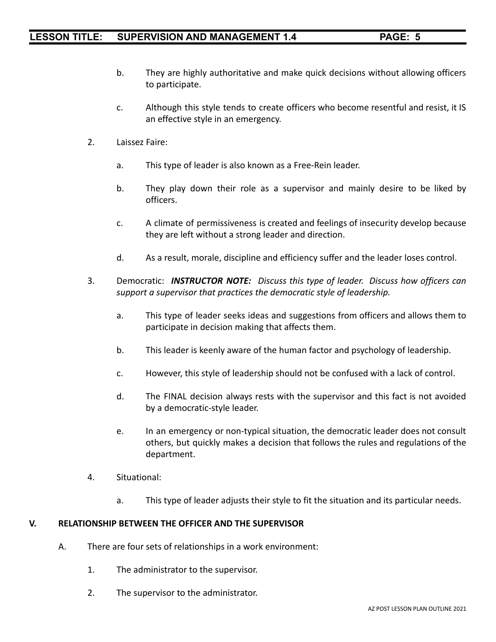- b. They are highly authoritative and make quick decisions without allowing officers to participate.
- c. Although this style tends to create officers who become resentful and resist, it IS an effective style in an emergency.
- 2. Laissez Faire:
	- a. This type of leader is also known as a Free-Rein leader.
	- b. They play down their role as a supervisor and mainly desire to be liked by officers.
	- c. A climate of permissiveness is created and feelings of insecurity develop because they are left without a strong leader and direction.
	- d. As a result, morale, discipline and efficiency suffer and the leader loses control.
- 3. Democratic: *INSTRUCTOR NOTE: Discuss this type of leader. Discuss how officers can support a supervisor that practices the democratic style of leadership.*
	- a. This type of leader seeks ideas and suggestions from officers and allows them to participate in decision making that affects them.
	- b. This leader is keenly aware of the human factor and psychology of leadership.
	- c. However, this style of leadership should not be confused with a lack of control.
	- d. The FINAL decision always rests with the supervisor and this fact is not avoided by a democratic-style leader.
	- e. In an emergency or non-typical situation, the democratic leader does not consult others, but quickly makes a decision that follows the rules and regulations of the department.
- 4. Situational:
	- a. This type of leader adjusts their style to fit the situation and its particular needs.

#### **V. RELATIONSHIP BETWEEN THE OFFICER AND THE SUPERVISOR**

- A. There are four sets of relationships in a work environment:
	- 1. The administrator to the supervisor.
	- 2. The supervisor to the administrator.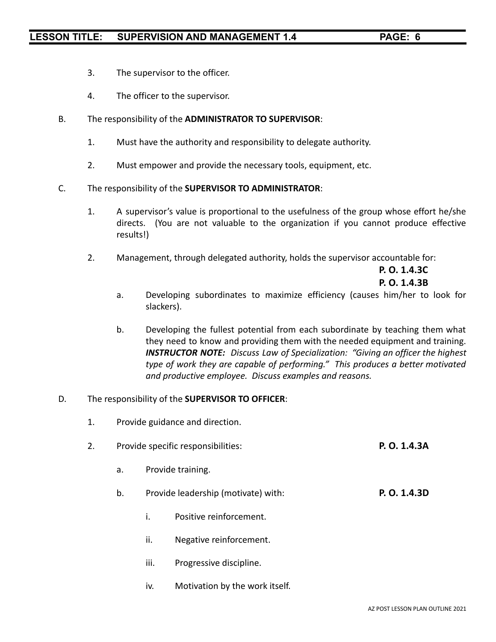- 3. The supervisor to the officer.
- 4. The officer to the supervisor.
- B. The responsibility of the **ADMINISTRATOR TO SUPERVISOR**:
	- 1. Must have the authority and responsibility to delegate authority.
	- 2. Must empower and provide the necessary tools, equipment, etc.
- C. The responsibility of the **SUPERVISOR TO ADMINISTRATOR**:
	- 1. A supervisor's value is proportional to the usefulness of the group whose effort he/she directs. (You are not valuable to the organization if you cannot produce effective results!)
	- 2. Management, through delegated authority, holds the supervisor accountable for:

**P. O. 1.4.3C P. O. 1.4.3B**

- a. Developing subordinates to maximize efficiency (causes him/her to look for slackers).
- b. Developing the fullest potential from each subordinate by teaching them what they need to know and providing them with the needed equipment and training. *INSTRUCTOR NOTE: Discuss Law of Specialization: "Giving an officer the highest type of work they are capable of performing." This produces a better motivated and productive employee. Discuss examples and reasons.*

#### D. The responsibility of the **SUPERVISOR TO OFFICER**:

- 1. Provide guidance and direction.
- 2. Provide specific responsibilities: **P. O. 1.4.3A**
	- a. Provide training.
	- b. Provide leadership (motivate) with: **P. O. 1.4.3D**
		- i. Positive reinforcement.
		- ii. Negative reinforcement.
		- iii. Progressive discipline.
		- iv. Motivation by the work itself.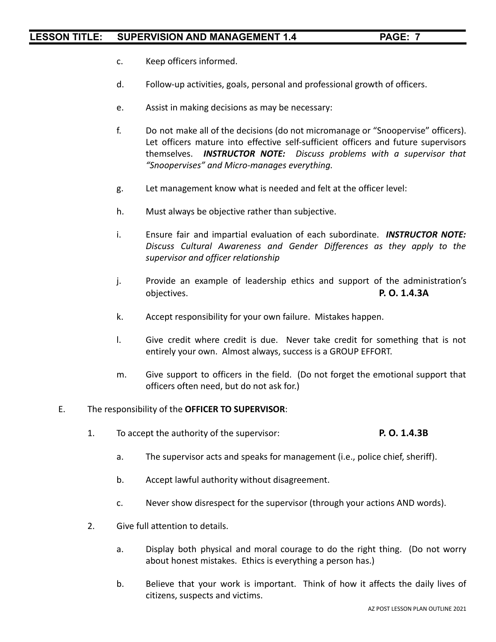- c. Keep officers informed.
- d. Follow-up activities, goals, personal and professional growth of officers.
- e. Assist in making decisions as may be necessary:
- f. Do not make all of the decisions (do not micromanage or "Snoopervise" officers). Let officers mature into effective self-sufficient officers and future supervisors themselves. *INSTRUCTOR NOTE: Discuss problems with a supervisor that "Snoopervises" and Micro-manages everything.*
- g. Let management know what is needed and felt at the officer level:
- h. Must always be objective rather than subjective.
- i. Ensure fair and impartial evaluation of each subordinate. *INSTRUCTOR NOTE: Discuss Cultural Awareness and Gender Differences as they apply to the supervisor and officer relationship*
- j. Provide an example of leadership ethics and support of the administration's objectives. **P. O. 1.4.3A**
- k. Accept responsibility for your own failure. Mistakes happen.
- l. Give credit where credit is due. Never take credit for something that is not entirely your own. Almost always, success is a GROUP EFFORT.
- m. Give support to officers in the field. (Do not forget the emotional support that officers often need, but do not ask for.)

#### E. The responsibility of the **OFFICER TO SUPERVISOR**:

- 1. To accept the authority of the supervisor: **P. O. 1.4.3B**
	- a. The supervisor acts and speaks for management (i.e., police chief, sheriff).
	- b. Accept lawful authority without disagreement.
	- c. Never show disrespect for the supervisor (through your actions AND words).
- 2. Give full attention to details.
	- a. Display both physical and moral courage to do the right thing. (Do not worry about honest mistakes. Ethics is everything a person has.)
	- b. Believe that your work is important. Think of how it affects the daily lives of citizens, suspects and victims.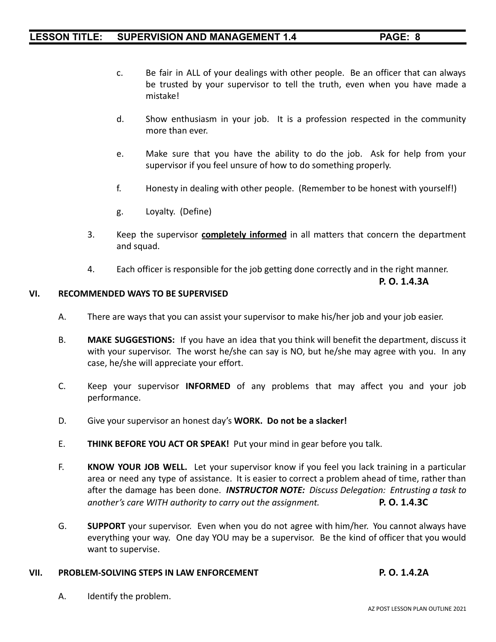- c. Be fair in ALL of your dealings with other people. Be an officer that can always be trusted by your supervisor to tell the truth, even when you have made a mistake!
- d. Show enthusiasm in your job. It is a profession respected in the community more than ever.
- e. Make sure that you have the ability to do the job. Ask for help from your supervisor if you feel unsure of how to do something properly.
- f. Honesty in dealing with other people. (Remember to be honest with yourself!)
- g. Loyalty. (Define)
- 3. Keep the supervisor **completely informed** in all matters that concern the department and squad.
- 4. Each officer is responsible for the job getting done correctly and in the right manner.

**P. O. 1.4.3A**

### **VI. RECOMMENDED WAYS TO BE SUPERVISED**

- A. There are ways that you can assist your supervisor to make his/her job and your job easier.
- B. **MAKE SUGGESTIONS:** If you have an idea that you think will benefit the department, discuss it with your supervisor. The worst he/she can say is NO, but he/she may agree with you. In any case, he/she will appreciate your effort.
- C. Keep your supervisor **INFORMED** of any problems that may affect you and your job performance.
- D. Give your supervisor an honest day's **WORK. Do not be a slacker!**
- E. **THINK BEFORE YOU ACT OR SPEAK!** Put your mind in gear before you talk.
- F. **KNOW YOUR JOB WELL.** Let your supervisor know if you feel you lack training in a particular area or need any type of assistance. It is easier to correct a problem ahead of time, rather than after the damage has been done. *INSTRUCTOR NOTE: Discuss Delegation: Entrusting a task to another's care WITH authority to carry out the assignment.* **P. O. 1.4.3C**
- G. **SUPPORT** your supervisor. Even when you do not agree with him/her. You cannot always have everything your way. One day YOU may be a supervisor. Be the kind of officer that you would want to supervise.

#### **VII. PROBLEM-SOLVING STEPS IN LAW ENFORCEMENT P. O. 1.4.2A**

A. Identify the problem.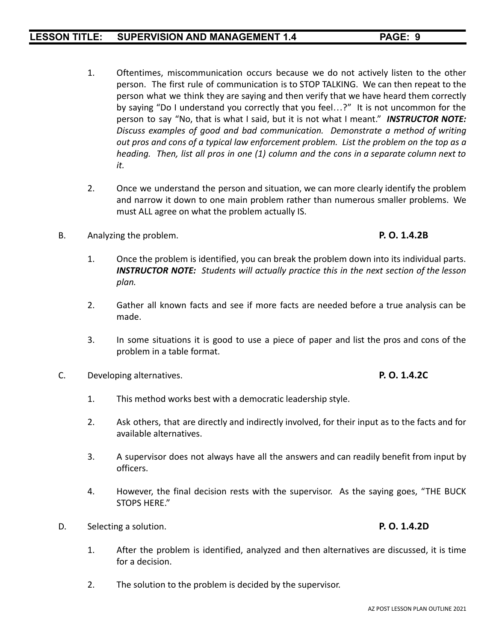- 1. Oftentimes, miscommunication occurs because we do not actively listen to the other person. The first rule of communication is to STOP TALKING. We can then repeat to the person what we think they are saying and then verify that we have heard them correctly by saying "Do I understand you correctly that you feel...?" It is not uncommon for the person to say "No, that is what I said, but it is not what I meant." *INSTRUCTOR NOTE: Discuss examples of good and bad communication. Demonstrate a method of writing out pros and cons of a typical law enforcement problem. List the problem on the top as a heading. Then, list all pros in one (1) column and the cons in a separate column next to it.*
- 2. Once we understand the person and situation, we can more clearly identify the problem and narrow it down to one main problem rather than numerous smaller problems. We must ALL agree on what the problem actually IS.
- B. Analyzing the problem. **P. O. 1.4.2B**

- 1. Once the problem is identified, you can break the problem down into its individual parts. *INSTRUCTOR NOTE: Students will actually practice this in the next section of the lesson plan.*
- 2. Gather all known facts and see if more facts are needed before a true analysis can be made.
- 3. In some situations it is good to use a piece of paper and list the pros and cons of the problem in a table format.
- C. Developing alternatives. **P. O. 1.4.2C**

### 1. This method works best with a democratic leadership style.

- 2. Ask others, that are directly and indirectly involved, for their input as to the facts and for available alternatives.
- 3. A supervisor does not always have all the answers and can readily benefit from input by officers.
- 4. However, the final decision rests with the supervisor. As the saying goes, "THE BUCK STOPS HERE."
- D. Selecting a solution. **P. O. 1.4.2D**
	- 1. After the problem is identified, analyzed and then alternatives are discussed, it is time for a decision.
	- 2. The solution to the problem is decided by the supervisor.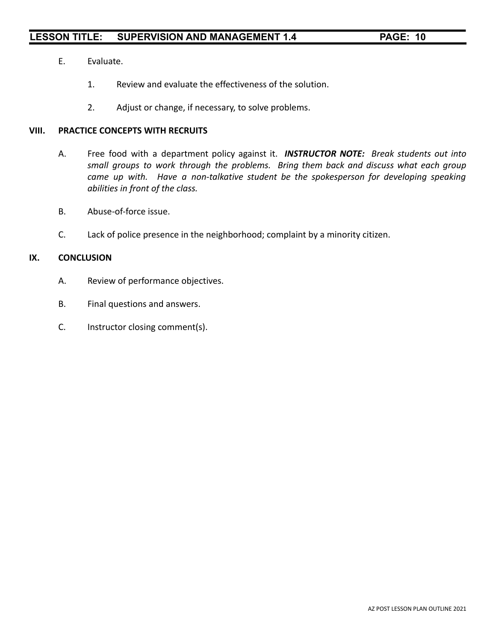- E. Evaluate.
	- 1. Review and evaluate the effectiveness of the solution.
	- 2. Adjust or change, if necessary, to solve problems.

### **VIII. PRACTICE CONCEPTS WITH RECRUITS**

- A. Free food with a department policy against it. *INSTRUCTOR NOTE: Break students out into small groups to work through the problems. Bring them back and discuss what each group came up with. Have a non-talkative student be the spokesperson for developing speaking abilities in front of the class.*
- B. Abuse-of-force issue.
- C. Lack of police presence in the neighborhood; complaint by a minority citizen.

#### **IX. CONCLUSION**

- A. Review of performance objectives.
- B. Final questions and answers.
- C. Instructor closing comment(s).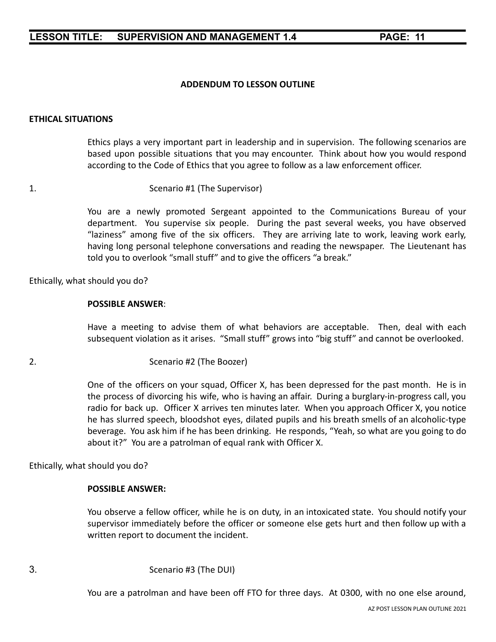# **ADDENDUM TO LESSON OUTLINE**

# **ETHICAL SITUATIONS**

Ethics plays a very important part in leadership and in supervision. The following scenarios are based upon possible situations that you may encounter. Think about how you would respond according to the Code of Ethics that you agree to follow as a law enforcement officer.

1. Scenario #1 (The Supervisor)

You are a newly promoted Sergeant appointed to the Communications Bureau of your department. You supervise six people. During the past several weeks, you have observed "laziness" among five of the six officers. They are arriving late to work, leaving work early, having long personal telephone conversations and reading the newspaper. The Lieutenant has told you to overlook "small stuff" and to give the officers "a break."

Ethically, what should you do?

#### **POSSIBLE ANSWER**:

Have a meeting to advise them of what behaviors are acceptable. Then, deal with each subsequent violation as it arises. "Small stuff" grows into "big stuff" and cannot be overlooked.

2. Scenario #2 (The Boozer)

One of the officers on your squad, Officer X, has been depressed for the past month. He is in the process of divorcing his wife, who is having an affair. During a burglary-in-progress call, you radio for back up. Officer X arrives ten minutes later. When you approach Officer X, you notice he has slurred speech, bloodshot eyes, dilated pupils and his breath smells of an alcoholic-type beverage. You ask him if he has been drinking. He responds, "Yeah, so what are you going to do about it?" You are a patrolman of equal rank with Officer X.

Ethically, what should you do?

#### **POSSIBLE ANSWER:**

You observe a fellow officer, while he is on duty, in an intoxicated state. You should notify your supervisor immediately before the officer or someone else gets hurt and then follow up with a written report to document the incident.

You are a patrolman and have been off FTO for three days. At 0300, with no one else around,